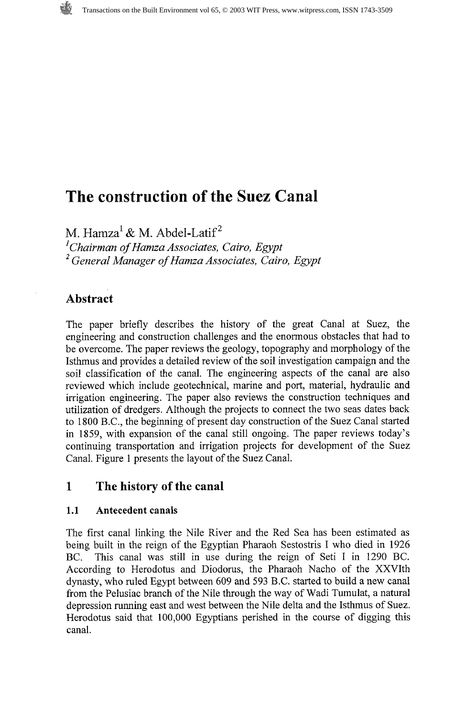# **The construction of the Suez Canal**

M. Hamza<sup>1</sup> & M. Abdel-Latif<sup>2</sup>

*'Chairman of Hamza Associates, Cairo, Egypt General Manager of Hamza Associates, Cairo, Egypt* 

## **Abstract**

The paper briefly describes the history of the great Canal at Suez, the engineering and construction challenges and the enormous obstacles that had to be overcome. The paper reviews the geology, topography and morphology of the Isthmus and provides a detailed review of the soil investigation campaign and the soil classification of the canal. The engineering aspects of the canal are also reviewed which include geotechnical, marine and port, material, hydraulic and irrigation engineering. The paper also reviews the construction techniques and utilization of dredgers. Although the projects to connect the two seas dates back to 1800 B.C., the beginning of present day construction of the Suez Canal started in 1859, with expansion of the canal still ongoing. The paper reviews today's continuing transportation and irrigation projects for development of the Suez Canal. Figure 1 presents the layout of the Suez Canal.

# **1 The history of the canal**

#### **1.1 Antecedent canals**

The first canal linking the Nile River and the Red Sea has been estimated as being built in the reign of the Egyptian Pharaoh Sestostris I who died in 1926 BC. This canal was still in use during the reign of Seti I in 1290 BC. According to Herodotus and Diodorus, the Pharaoh Nacho of the XXVIth dynasty, who ruled Egypt between 609 and 593 B.C. started to build a new canal from the Pelusiac branch of the Nile through the way of Wadi Tumulat, a natural depression running east and west between the Nile delta and the Isthmus of Suez. Herodotus said that 100,000 Egyptians perished in the course of digging this canal.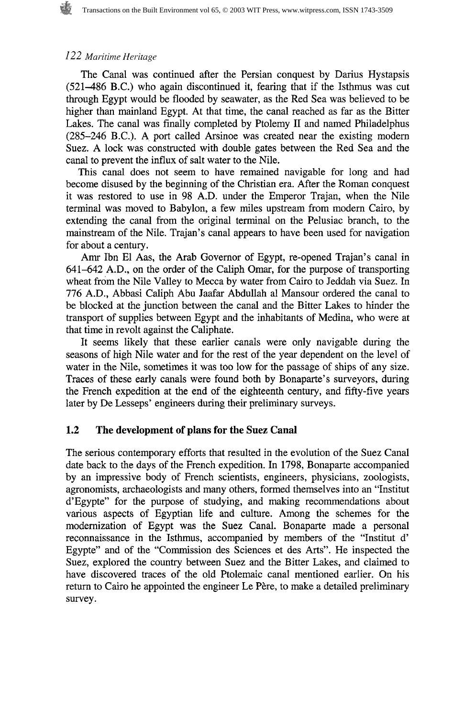The Canal was continued after the Persian conquest by Darius Hystapsis  $(521-486)$  B.C.) who again discontinued it, fearing that if the Isthmus was cut through Egypt would be flooded by seawater, as the Red Sea was believed to be higher than mainland Egypt. At that time, the canal reached as far as the Bitter Lakes. The canal was finally completed by Ptolemy I1 and named Philadelphus (285-246 B.C.). A port called Arsinoe was created near the existing modern Suez. A lock was constructed with double gates between the Red Sea and the canal to prevent the influx of salt water to the Nile.

This canal does not seem to have remained navigable for long and had become disused by the beginning of the Christian era. After the Roman conquest it was restored to use in 98 A.D. under the Emperor Trajan, when the Nile terminal was moved to Babylon, a few miles upstream from modern Cairo, by extending the canal from the original terminal on the Pelusiac branch, to the mainstream of the Nile. Trajan's canal appears to have been used for navigation for about a century.

Amr Ibn El Aas, the Arab Governor of Egypt, re-opened Trajan's canal in 641-642 A.D., on the order of the Caliph Omar, for the purpose of transporting wheat from the Nile Valley to Mecca by water from Cairo to Jeddah via Suez. In 776 A.D., Abbasi Caliph Abu Jaafar Abdullah a1 Mansour ordered the canal to be blocked at the junction between the canal and the Bitter Lakes to hinder the transport of supplies between Egypt and the inhabitants of Medina, who were at that time in revolt against the Caliphate.

It seems likely that these earlier canals were only navigable during the seasons of high Nile water and for the rest of the year dependent on the level of water in the Nile, sometimes it was too low for the passage of ships of any size. Traces of these early canals were found both by Bonaparte's surveyors, during the French expedition at the end of the eighteenth century, and fifty-five years later by De Lesseps' engineers during their preliminary surveys.

#### **1.2 The development of plans for the Suez Canal**

The serious contemporary efforts that resulted in the evolution of the Suez Canal date back to the days of the French expedition. In 1798, Bonaparte accompanied by an impressive body of French scientists, engineers, physicians, zoologists, agronomists, archaeologists and many others, formed themselves into an "Institut d'Egypte" for the purpose of studying, and making recommendations about various aspects of Egyptian life and culture. Among the schemes for the modernization of Egypt was the Suez Canal. Bonaparte made a personal reconnaissance in the Isthmus, accompanied by members of the "Institut d' Egypte" and of the "Commission des Sciences et des Arts". He inspected the Suez, explored the country between Suez and the Bitter Lakes, and claimed to have discovered traces of the old Ptolemaic canal mentioned earlier. On his return to Cairo he appointed the engineer Le Père, to make a detailed preliminary survey.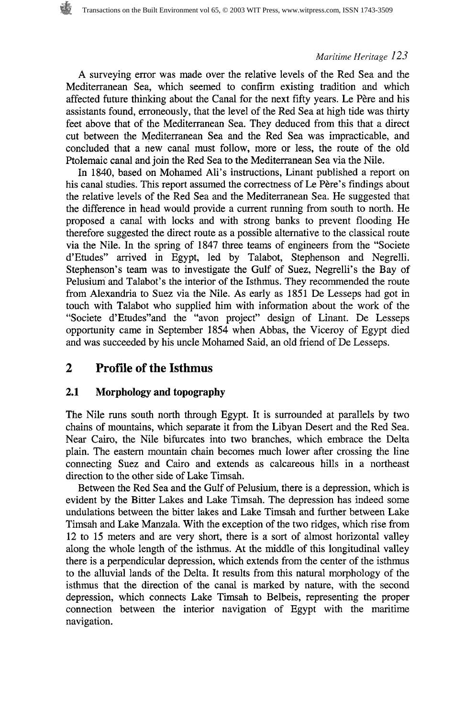A surveying error was made over the relative levels of the Red Sea and the Mediterranean Sea, which seemed to confirm existing tradition and which affected future thinking about the Canal for the next fifty years. Le Père and his assistants found, erroneously, that the level of the Red Sea at high tide was thirty feet above that of the Mediterranean Sea. They deduced from this that a direct cut between the Mediterranean Sea and the Red Sea was impracticable, and concluded that a new canal must follow, more or less, the route of the old Ptolemaic canal and join the Red Sea to the Mediterranean Sea via the Nile.

In 1840, based on Mohamed Ali's instructions, Linant published a report on his canal studies. This report assumed the correctness of Le Père's findings about the relative levels of the Red Sea and the Mediterranean Sea. He suggested that the difference in head would provide a current running from south to north. He proposed a canal with locks and with strong banks to prevent flooding He therefore suggested the direct route as a possible alternative to the classical route via the Nile. In the spring of 1847 three teams of engineers from the "Societe d'Etudes" arrived in Egypt, led by Talabot, Stephenson and Negrelli. Stephenson's team was to investigate the Gulf of Suez, Negrelli's the Bay of Pelusium and Talabot's the interior of the Isthmus. They recommended the route from Alexandria to Suez via the Nile. As early as 1851 De Lesseps had got in touch with Talabot who supplied him with information about the work of the "Societe d'Etudes" and the "avon project" design of Linant. De Lesseps opportunity came in September 1854 when Abbas, the Viceroy of Egypt died and was succeeded by his uncle Mohamed Said, an old friend of De Lesseps.

### **2 Profile of the Isthmus**

#### **2.1 Morphology and topography**

The Nile runs south north through Egypt. It is surrounded at parallels by two chains of mountains, which separate it from the Libyan Desert and the Red Sea. Near Cairo, the Nile bifurcates into two branches, which embrace the Delta plain. The eastern mountain chain becomes much lower after crossing the line connecting Suez and Cairo and extends as calcareous hills in a northeast direction to the other side of Lake Timsah.

Between the Red Sea and the Gulf of Pelusium, there is a depression, which is evident by the Bitter Lakes and Lake Timsah. The depression has indeed some undulations between the bitter lakes and Lake Timsah and further between Lake Timsah and Lake Manzala. With the exception of the two ridges, which rise from 12 to 15 meters and are very short, there is a sort of almost horizontal valley along the whole length of the isthmus. At the middle of this longitudinal valley there is a perpendicular depression, which extends from the center of the isthmus to the alluvial lands of the Delta. It results from this natural morphology of the isthmus that the direction of the canal is marked by nature, with the second depression, which connects Lake Timsah to Belbeis, representing the proper connection between the interior navigation of Egypt with the maritime navigation.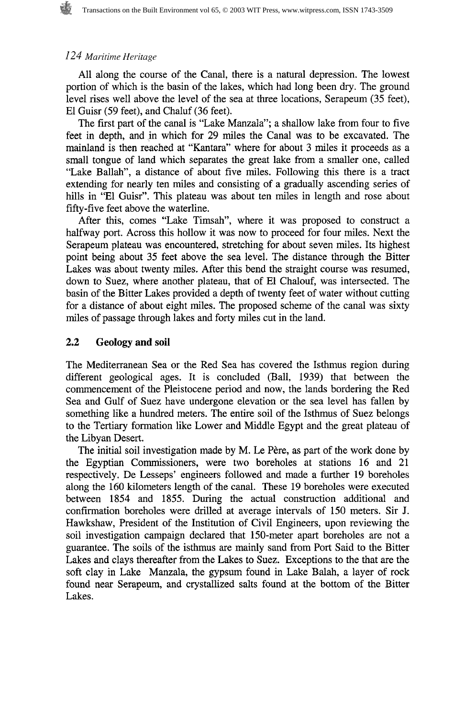#### *1.24 Maritime Heritage*

All along the course of the Canal, there is a natural depression. The lowest portion of which is the basin of the lakes, which had long been dry. The ground level rises well above the level of the sea at three locations, Serapeum (35 feet), El Guisr (59 feet), and Chaluf (36 feet).

The first part of the canal is "Lake Manzala"; a shallow lake from four to five feet in depth, and in which for 29 miles the Canal was to be excavated. The mainland is then reached at "Kantara" where for about 3 miles it proceeds as a small tongue of land which separates the great lake from a smaller one, called "Lake Ballah", a distance of about five miles. Following this there is a tract extending for nearly ten miles and consisting of a gradually ascending series of hills in "El Guisr". This plateau was about ten miles in length and rose about fifty-five feet above the waterline.

After this, comes "Lake Timsah", where it was proposed to construct a halfway port. Across this hollow it was now to proceed for four miles. Next the Serapeum plateau was encountered, stretching for about seven miles. Its highest point being about 35 feet above the sea level. The distance through the Bitter Lakes was about twenty miles. After this bend the straight course was resumed, down to Suez, where another plateau, that of El Chalouf, was intersected. The basin of the Bitter Lakes provided a depth of twenty feet of water without cutting for a distance of about eight miles. The proposed scheme of the canal was sixty miles of passage through lakes and forty miles cut in the land.

#### **2.2 Geology and soil**

The Mediterranean Sea or the Red Sea has covered the Isthmus region during different geological ages. It is concluded (Ball, 1939) that between the commencement of the Pleistocene period and now, the lands bordering the Red Sea and Gulf of Suez have undergone elevation or the sea level has fallen by something like a hundred meters. The entire soil of the Isthmus of Suez belongs to the Tertiary formation like Lower and Middle Egypt and the great plateau of the Libyan Desert.

The initial soil investigation made by M. Le Père, as part of the work done by the Egyptian Commissioners, were two boreholes at stations 16 and 21 respectively. De Lesseps' engineers followed and made a further 19 boreholes along the 160 kilometers length of the canal. These 19 boreholes were executed between 1854 and 1855. During the actual construction additional and confirmation boreholes were drilled at average intervals of 150 meters. Sir **J.**  Hawkshaw, President of the Institution of Civil Engineers, upon reviewing the soil investigation campaign declared that 150-meter apart boreholes are not a guarantee. The soils of the isthmus are mainly sand from Port Said to the Bitter Lakes and clays thereafter from the Lakes to Suez. Exceptions to the that are the soft clay in Lake Manzala, the gypsum found in Lake Balah, a layer of rock found near Serapeum, and crystallized salts found at the bottom of the Bitter Lakes.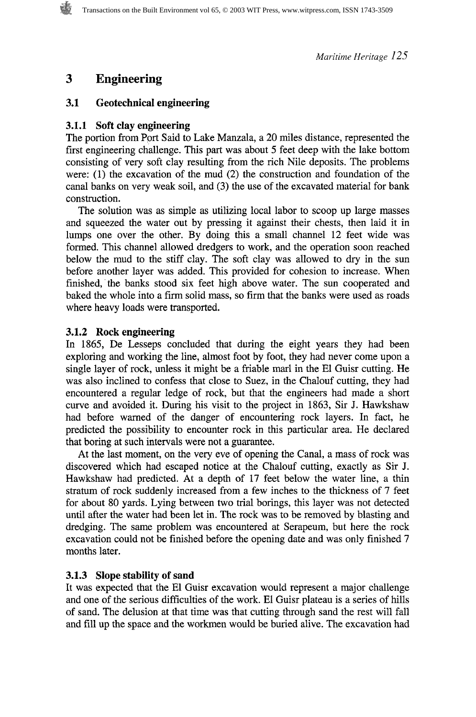# **3 Engineering**

#### **3.1 Geotechnical engineering**

#### **3.1.1 Soft clay engineering**

The portion from Port Said to Lake Manzala, a 20 miles distance, represented the first engineering challenge. This part was about 5 feet deep with the lake bottom consisting of very soft clay resulting from the rich Nile deposits. The problems were: (1) the excavation of the mud (2) the construction and foundation of the canal banks on very weak soil, and **(3)** the use of the excavated material for bank construction.

The solution was as simple as utilizing local labor to scoop up large masses and squeezed the water out by pressing it against their chests, then laid it in lumps one over the other. By doing this a small channel 12 feet wide was formed. This channel allowed dredgers to work, and the operation soon reached below the mud to the stiff clay. The soft clay was allowed to dry in the sun before another layer was added. This provided for cohesion to increase. When finished, the banks stood six feet high above water. The sun cooperated and baked the whole into a firm solid mass, so firm that the banks were used as roads where heavy loads were transported.

#### **3.1.2 Rock engineering**

In 1865, De Lesseps concluded that during the eight years they had been exploring and working the line, almost foot by foot, they had never come upon a single layer of rock, unless it might be a friable mar1 in the El Guisr cutting. He was also inclined to confess that close to Suez, in the Chalouf cutting, they had encountered a regular ledge of rock, but that the engineers had made a short curve and avoided it. During his visit to the project in 1863, Sir J. Hawkshaw had before warned of the danger of encountering rock layers. In fact, he predicted the possibility to encounter rock in this particular area. He declared that boring at such intervals were not a guarantee.

At the last moment, on the very eve of opening the Canal, a mass of rock was discovered which had escaped notice at the Chalouf cutting, exactly as Sir J. Hawkshaw had predicted. At a depth of 17 feet below the water line, a thin stratum of rock suddenly increased from a few inches to the thickness of 7 feet for about 80 yards. Lying between two trial borings, this layer was not detected until after the water had been let in. The rock was to be removed by blasting and dredging. The same problem was encountered at Serapeum, but here the rock excavation could not be finished before the opening date and was only finished 7 months later.

#### **3.1.3 Slope stability of sand**

It was expected that the El Guisr excavation would represent a major challenge and one of the serious difficulties of the work. El Guisr plateau is a series of hills of sand. The delusion at that time was that cutting through sand the rest will fall and fill up the space and the workmen would be buried alive. The excavation had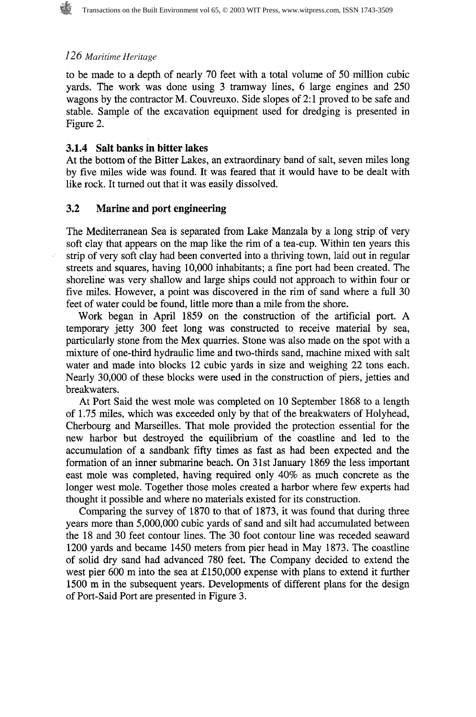to be made to a depth of nearly 70 feet with a total volume of 50 million cubic yards. The work was done using 3 tramway lines, 6 large engines and 250 wagons by the contractor M. Couvreuxo. Side slopes of 2:1 proved to be safe and stable. Sample of the excavation equipment used for dredging is presented in Figure 2.

#### **3.1.4 Salt banks in bitter lakes**

At the bottom of the Bitter Lakes, an extraordinary band of salt, seven miles long by five miles wide was found. It was feared that it would have to be dealt with like rock. It turned out that it was easily dissolved.

#### **3.2 Marine and port engineering**

The Mediterranean Sea is separated from Lake Manzala by a long strip of very soft clay that appears on the map like the rim of a tea-cup. Within ten years this strip of very soft clay had been converted into a thriving town, laid out in regular streets and squares, having 10,000 inhabitants; a fine port had been created. The shoreline was very shallow and large ships could not approach to within four or five miles. However, a point was discovered in the rim of sand where a full 30 feet of water could be found, little more than a mile from the shore.

Work began in April 1859 on the construction of the artificial port. A temporary jetty 300 feet long was constructed to receive material by sea, particularly stone from the Mex quarries. Stone was also made on the spot with a mixture of one-third hydraulic lime and two-thirds sand, machine mixed with salt water and made into blocks 12 cubic yards in size and weighing 22 tons each. Nearly 30,000 of these blocks were used in the construction of piers, jetties and breakwaters.

At Port Said the west mole was completed on 10 September 1868 to a length of 1.75 miles, which was exceeded only by that of the breakwaters of Holyhead, Cherbourg and Marseilles. That mole provided the protection essential for the new harbor but destroyed the equilibrium of the coastline and led to the accumulation of a sandbank fifty times as fast as had been expected and the formation of an inner submarine beach. On 31st January 1869 the less important east mole was completed, having required only 40% as much concrete as the longer west mole. Together those moles created a harbor where few experts had thought it possible and where no materials existed for its construction.

Comparing the survey of 1870 to that of 1873, it was found that during three years more than 5,000,000 cubic yards of sand and silt had accumulated between the 18 and 30 feet contour lines. The 30 foot contour line was receded seaward 1200 yards and became 1450 meters from pier head in May 1873. The coastline of solid dry sand had advanced 780 feet. The Company decided to extend the west pier 600 m into the sea at £150,000 expense with plans to extend it further 1500 m in the subsequent years. Developments of different plans for the design of Port-Said Port are presented in Figure 3.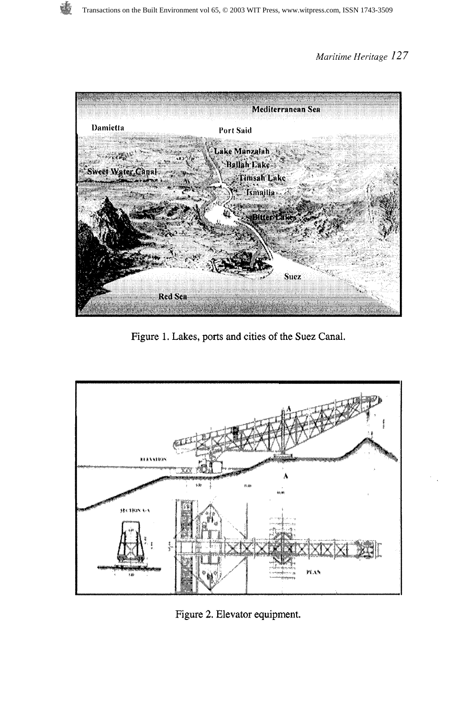

Figure 1. Lakes, ports and cities of the Suez Canal.



Figure 2. Elevator equipment.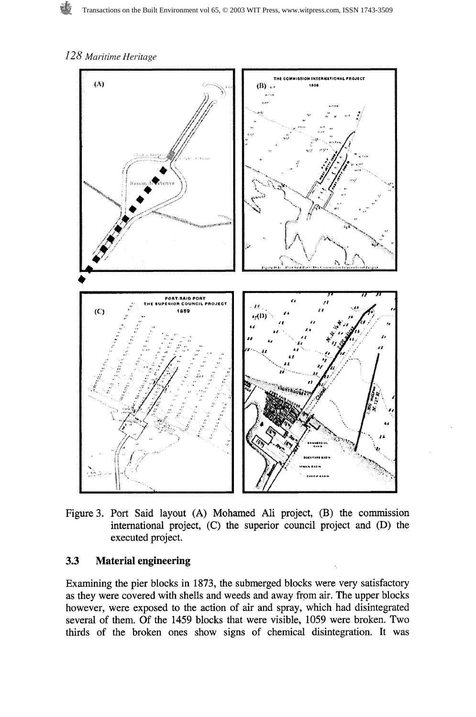

Figure **3.** Port Said layout **(A)** Mohamed Ali project, (B) the commission international project, (C) the superior council project and (D) the executed project.

### **3.3 Material engineering**

Examining the pier blocks in **1873,** the submerged blocks were very satisfactory as they were covered with shells and weeds and away from air. The upper blocks however, were exposed to the action of air and spray, which had disintegrated several of them. Of the **1459** blocks that were visible, 1059 were broken. Two thirds of the broken ones show signs of chemical disintegration. It was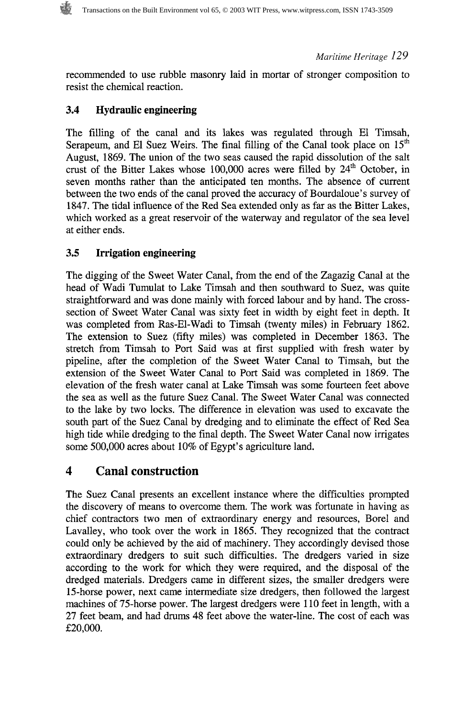recommended to use rubble masonry laid in mortar of stronger composition to resist the chemical reaction.

### **3.4 Hydraulic engineering**

The filling of the canal and its lakes was regulated through El Timsah, Serapeum, and El Suez Weirs. The final filling of the Canal took place on  $15<sup>th</sup>$ August, 1869. The union of the two seas caused the rapid dissolution of the salt crust of the Bitter Lakes whose 100,000 acres were filled by 24<sup>th</sup> October, in seven months rather than the anticipated ten months. The absence of current between the two ends of the canal proved the accuracy of Bourdaloue's survey of 1847. The tidal influence of the Red Sea extended only as far as the Bitter Lakes, which worked as a great reservoir of the waterway and regulator of the sea level at either ends.

### **3.5 Irrigation engineering**

The digging of the Sweet Water Canal, from the end of the Zagazig Canal at the head of Wadi Tumulat to Lake Timsah and then southward to Suez, was quite straightforward and was done mainly with forced labour and by hand. The crosssection of Sweet Water Canal was sixty feet in width by eight feet in depth. It was completed from Ras-El-Wadi to Timsah (twenty miles) in February 1862. The extension to Suez (fifty miles) was completed in December 1863. The stretch from Timsah to Port Said was at first supplied with fresh water by pipeline, after the completion of the Sweet Water Canal to Timsah, but the extension of the Sweet Water Canal to Port Said was completed in 1869. The elevation of the fresh water canal at Lake Timsah was some fourteen feet above the sea as well as the future Suez Canal. The Sweet Water Canal was connected to the lake by two locks. The difference in elevation was used to excavate the south part of the Suez Canal by dredging and to eliminate the effect of Red Sea high tide while dredging to the final depth. The Sweet Water Canal now irrigates some 500,000 acres about 10% of Egypt's agriculture land.

# **4 Canal construction**

The Suez Canal presents an excellent instance where the difficulties prompted the discovery of means to overcome them. The work was fortunate in having as chief contractors two men of extraordinary energy and resources, Bore1 and Lavalley, who took over the work in 1865. They recognized that the contract could only be achieved by the aid of machinery. They accordingly devised those extraordinary dredgers to suit such difficulties. The dredgers varied in size according to the work for which they were required, and the disposal of the dredged materials. Dredgers came in different sizes, the smaller dredgers were 15-horse power, next came intermediate size dredgers, then followed the largest machines of 75-horse power. The largest dredgers were 110 feet in length, with a 27 feet beam, and had drums 48 feet above the water-line. The cost of each was £20,000.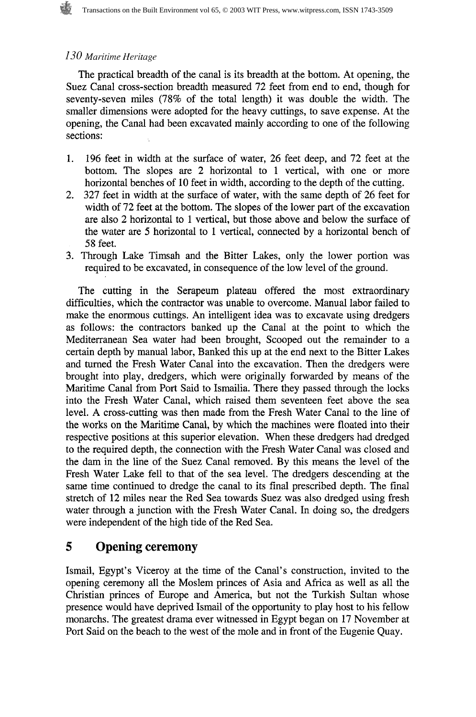The practical breadth of the canal is its breadth at the bottom. At opening, the Suez Canal cross-section breadth measured 72 feet from end to end, though for seventy-seven miles (78% of the total length) it was double the width. The smaller dimensions were adopted for the heavy cuttings, to save expense. At the opening, the Canal had been excavated mainly according to one of the following sections:

- 196 feet in width at the surface of water, 26 feet deep, and 72 feet at the  $1.$ bottom. The slopes are 2 horizontal to 1 vertical, with one or more horizontal benches of 10 feet in width, according to the depth of the cutting.
- 327 feet in width at the surface of water, with the same depth of 26 feet for width of 72 feet at the bottom. The slopes of the lower part of the excavation are also 2 horizontal to 1 vertical, but those above and below the surface of the water are 5 horizontal to 1 vertical, connected by a horizontal bench of 58 feet.
- 3. Through Lake Timsah and the Bitter Lakes, only the lower portion was required to be excavated, in consequence of the low level of the ground.

The cutting in the Serapeum plateau offered the most extraordinary difficulties, which the contractor was unable to overcome. Manual labor failed to make the enormous cuttings. An intelligent idea was to excavate using dredgers as follows: the contractors banked up the Canal at the point to which the Mediterranean Sea water had been brought, Scooped out the remainder to a certain depth by manual labor, Banked this up at the end next to the Bitter Lakes and turned the Fresh Water Canal into the excavation. Then the dredgers were brought into play, dredgers, which were originally forwarded by means of the Maritime Canal from Port Said to Ismailia. There they passed through the locks into the Fresh Water Canal, which raised them seventeen feet above the sea level. A cross-cutting was then made from the Fresh Water Canal to the line of the works on the Maritime Canal, by which the machines were floated into their respective positions at this superior elevation. When these dredgers had dredged to the required depth, the connection with the Fresh Water Canal was closed and the dam in the line of the Suez Canal removed. By this means the level of the Fresh Water Lake fell to that of the sea level. The dredgers descending at the same time continued to dredge the canal to its final prescribed depth. The final stretch of 12 miles near the Red Sea towards Suez was also dredged using fresh water through a junction with the Fresh Water Canal. In doing so, the dredgers were independent of the high tide of the Red Sea.

# **5 Opening ceremony**

Ismail, Egypt's Viceroy at the time of the Canal's construction, invited to the opening ceremony all the Moslem princes of Asia and Africa as well as all the Christian princes of Europe and America, but not the Turkish Sultan whose presence would have deprived Ismail of the opportunity to play host to his fellow monarchs. The greatest drama ever witnessed in Egypt began on 17 November at Port Said on the beach to the west of the mole and in front of the Eugenie Quay.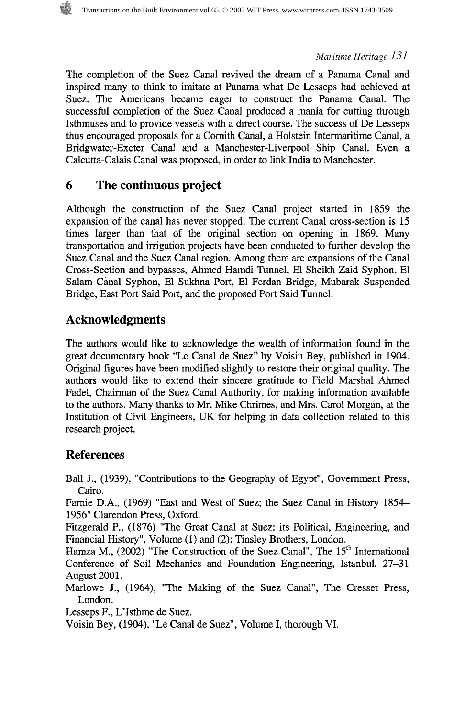The completion of the Suez Canal revived the dream of a Panama Canal and inspired many to think to imitate at Panama what De Lesseps had achieved at Suez. The Americans became eager to construct the Panama Canal. The successful completion of the Suez Canal produced a mania for cutting through Isthmuses and to provide vessels with a direct course. The success of De Lesseps thus encouraged proposals for a Cornith Canal, a Holstein Intermaritime Canal, a Bridgwater-Exeter Canal and a Manchester-Liverpool Ship Canal. Even a Calcutta-Calais Canal was proposed, in order to link India to Manchester.

# **6 The continuous project**

Although the construction of the Suez Canal project started in 1859 the expansion of the canal has never stopped. The current Canal cross-section is 15 times larger than that of the original section on opening in 1869. Many transportation and irrigation projects have been conducted to further develop the Suez Canal and the Suez Canal region. Among them are expansions of the Canal Cross-Section and bypasses, Ahmed Hamdi Tunnel, El Sheikh Zaid Syphon, El Salam Canal Syphon, El Sukhna Port, El Ferdan Bridge, Mubarak Suspended Bridge, East Port Said Port, and the proposed Port Said Tunnel.

# **Acknowledgments**

The authors would like to acknowledge the wealth of information found in the great documentary book "Le Canal de Suez" by Voisin Bey, published in 1904. Original figures have been modified slightly to restore their original quality. The authors would like to extend their sincere gratitude to Field Marshal Ahmed Fadel, Chairman of the Suez Canal Authority, for making information available to the authors. Many thanks to Mr. Mike Chimes, and Mrs. Carol Morgan, at the Institution of Civil Engineers, UK for helping in data collection related to this research project.

# **References**

Ball J., (1939), "Contributions to the Geography of Egypt", Government Press, Cairo.

Farnie D.A., (1969) "East and West of Suez; the Suez Canal in History 1854- 1956" Clarendon Press, Oxford.

Fitzgerald P., (1876) "The Great Canal at Suez: its Political, Engineering, and Financial History", Volume (1) and (2); Tinsley Brothers, London.

Hamza M., (2002) "The Construction of the Suez Canal", The  $15<sup>th</sup>$  International Conference of Soil Mechanics and Foundation Engineering, Istanbul, 27-31 August 2001.

Marlowe J., (1964), "The Making of the Suez Canal", The Cresset Press, London.

Lesseps F., L'Isthme de Suez.

Voisin Bey, (1904), "Le Canal de Suez", Volume I, thorough VI.